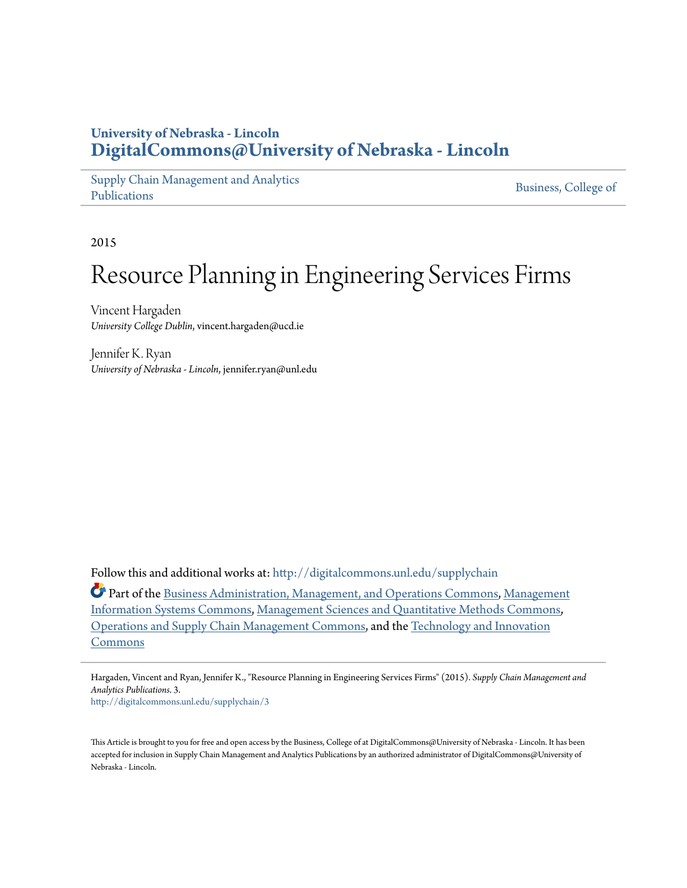### **University of Nebraska - Lincoln [DigitalCommons@University of Nebraska - Lincoln](http://digitalcommons.unl.edu?utm_source=digitalcommons.unl.edu%2Fsupplychain%2F3&utm_medium=PDF&utm_campaign=PDFCoverPages)**

[Supply Chain Management and Analytics](http://digitalcommons.unl.edu/supplychain?utm_source=digitalcommons.unl.edu%2Fsupplychain%2F3&utm_medium=PDF&utm_campaign=PDFCoverPages) [Publications](http://digitalcommons.unl.edu/supplychain?utm_source=digitalcommons.unl.edu%2Fsupplychain%2F3&utm_medium=PDF&utm_campaign=PDFCoverPages)

[Business, College of](http://digitalcommons.unl.edu/business?utm_source=digitalcommons.unl.edu%2Fsupplychain%2F3&utm_medium=PDF&utm_campaign=PDFCoverPages)

2015

# Resource Planning in Engineering Services Firms

Vincent Hargaden *University College Dublin*, vincent.hargaden@ucd.ie

Jennifer K. Ryan *University of Nebraska - Lincoln*, jennifer.ryan@unl.edu

Follow this and additional works at: [http://digitalcommons.unl.edu/supplychain](http://digitalcommons.unl.edu/supplychain?utm_source=digitalcommons.unl.edu%2Fsupplychain%2F3&utm_medium=PDF&utm_campaign=PDFCoverPages)

Part of the [Business Administration, Management, and Operations Commons](http://network.bepress.com/hgg/discipline/623?utm_source=digitalcommons.unl.edu%2Fsupplychain%2F3&utm_medium=PDF&utm_campaign=PDFCoverPages), [Management](http://network.bepress.com/hgg/discipline/636?utm_source=digitalcommons.unl.edu%2Fsupplychain%2F3&utm_medium=PDF&utm_campaign=PDFCoverPages) [Information Systems Commons](http://network.bepress.com/hgg/discipline/636?utm_source=digitalcommons.unl.edu%2Fsupplychain%2F3&utm_medium=PDF&utm_campaign=PDFCoverPages), [Management Sciences and Quantitative Methods Commons,](http://network.bepress.com/hgg/discipline/637?utm_source=digitalcommons.unl.edu%2Fsupplychain%2F3&utm_medium=PDF&utm_campaign=PDFCoverPages) [Operations and Supply Chain Management Commons,](http://network.bepress.com/hgg/discipline/1229?utm_source=digitalcommons.unl.edu%2Fsupplychain%2F3&utm_medium=PDF&utm_campaign=PDFCoverPages) and the [Technology and Innovation](http://network.bepress.com/hgg/discipline/644?utm_source=digitalcommons.unl.edu%2Fsupplychain%2F3&utm_medium=PDF&utm_campaign=PDFCoverPages) [Commons](http://network.bepress.com/hgg/discipline/644?utm_source=digitalcommons.unl.edu%2Fsupplychain%2F3&utm_medium=PDF&utm_campaign=PDFCoverPages)

Hargaden, Vincent and Ryan, Jennifer K., "Resource Planning in Engineering Services Firms" (2015). *Supply Chain Management and Analytics Publications*. 3.

[http://digitalcommons.unl.edu/supplychain/3](http://digitalcommons.unl.edu/supplychain/3?utm_source=digitalcommons.unl.edu%2Fsupplychain%2F3&utm_medium=PDF&utm_campaign=PDFCoverPages)

This Article is brought to you for free and open access by the Business, College of at DigitalCommons@University of Nebraska - Lincoln. It has been accepted for inclusion in Supply Chain Management and Analytics Publications by an authorized administrator of DigitalCommons@University of Nebraska - Lincoln.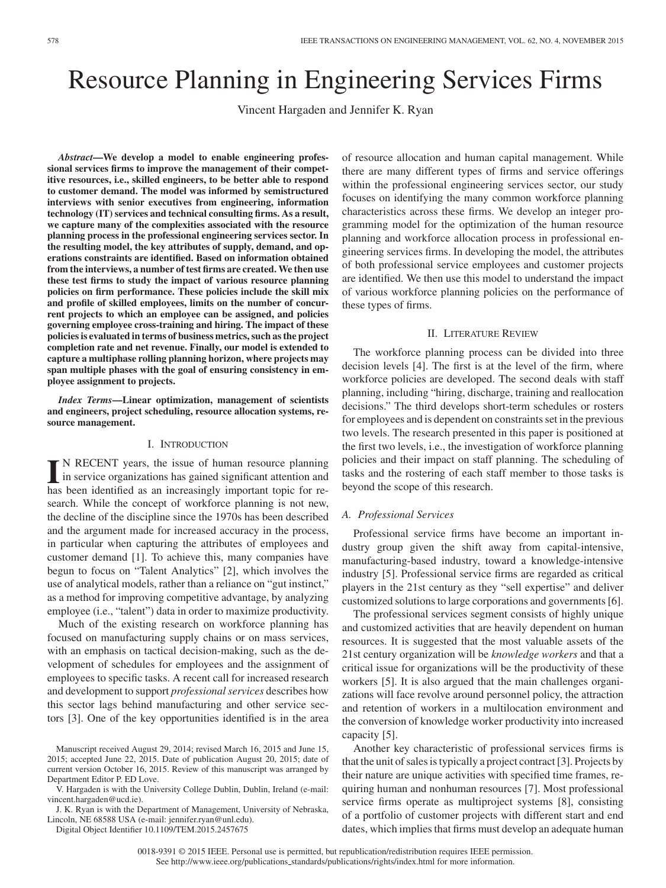## Resource Planning in Engineering Services Firms

Vincent Hargaden and Jennifer K. Ryan

*Abstract***—We develop a model to enable engineering professional services firms to improve the management of their competitive resources, i.e., skilled engineers, to be better able to respond to customer demand. The model was informed by semistructured interviews with senior executives from engineering, information technology (IT) services and technical consulting firms. As a result, we capture many of the complexities associated with the resource planning process in the professional engineering services sector. In the resulting model, the key attributes of supply, demand, and operations constraints are identified. Based on information obtained from the interviews, a number of test firms are created. We then use these test firms to study the impact of various resource planning policies on firm performance. These policies include the skill mix and profile of skilled employees, limits on the number of concurrent projects to which an employee can be assigned, and policies governing employee cross-training and hiring. The impact of these policies is evaluated in terms of business metrics, such as the project completion rate and net revenue. Finally, our model is extended to capture a multiphase rolling planning horizon, where projects may span multiple phases with the goal of ensuring consistency in employee assignment to projects.**

*Index Terms***—Linear optimization, management of scientists and engineers, project scheduling, resource allocation systems, resource management.**

#### I. INTRODUCTION

IN RECENT years, the issue of human resource planning<br>in service organizations has gained significant attention and<br>has been identified as an increasingly important topic for re-N RECENT years, the issue of human resource planning has been identified as an increasingly important topic for research. While the concept of workforce planning is not new, the decline of the discipline since the 1970s has been described and the argument made for increased accuracy in the process, in particular when capturing the attributes of employees and customer demand [1]. To achieve this, many companies have begun to focus on "Talent Analytics" [2], which involves the use of analytical models, rather than a reliance on "gut instinct," as a method for improving competitive advantage, by analyzing employee (i.e., "talent") data in order to maximize productivity.

Much of the existing research on workforce planning has focused on manufacturing supply chains or on mass services, with an emphasis on tactical decision-making, such as the development of schedules for employees and the assignment of employees to specific tasks. A recent call for increased research and development to support *professional services* describes how this sector lags behind manufacturing and other service sectors [3]. One of the key opportunities identified is in the area

J. K. Ryan is with the Department of Management, University of Nebraska, Lincoln, NE 68588 USA (e-mail: jennifer.ryan@unl.edu).

Digital Object Identifier 10.1109/TEM.2015.2457675

of resource allocation and human capital management. While there are many different types of firms and service offerings within the professional engineering services sector, our study focuses on identifying the many common workforce planning characteristics across these firms. We develop an integer programming model for the optimization of the human resource planning and workforce allocation process in professional engineering services firms. In developing the model, the attributes of both professional service employees and customer projects are identified. We then use this model to understand the impact of various workforce planning policies on the performance of these types of firms.

#### II. LITERATURE REVIEW

The workforce planning process can be divided into three decision levels [4]. The first is at the level of the firm, where workforce policies are developed. The second deals with staff planning, including "hiring, discharge, training and reallocation decisions." The third develops short-term schedules or rosters for employees and is dependent on constraints set in the previous two levels. The research presented in this paper is positioned at the first two levels, i.e., the investigation of workforce planning policies and their impact on staff planning. The scheduling of tasks and the rostering of each staff member to those tasks is beyond the scope of this research.

#### *A. Professional Services*

Professional service firms have become an important industry group given the shift away from capital-intensive, manufacturing-based industry, toward a knowledge-intensive industry [5]. Professional service firms are regarded as critical players in the 21st century as they "sell expertise" and deliver customized solutions to large corporations and governments [6].

The professional services segment consists of highly unique and customized activities that are heavily dependent on human resources. It is suggested that the most valuable assets of the 21st century organization will be *knowledge workers* and that a critical issue for organizations will be the productivity of these workers [5]. It is also argued that the main challenges organizations will face revolve around personnel policy, the attraction and retention of workers in a multilocation environment and the conversion of knowledge worker productivity into increased capacity [5].

Another key characteristic of professional services firms is that the unit of sales is typically a project contract [3]. Projects by their nature are unique activities with specified time frames, requiring human and nonhuman resources [7]. Most professional service firms operate as multiproject systems [8], consisting of a portfolio of customer projects with different start and end dates, which implies that firms must develop an adequate human

Manuscript received August 29, 2014; revised March 16, 2015 and June 15, 2015; accepted June 22, 2015. Date of publication August 20, 2015; date of current version October 16, 2015. Review of this manuscript was arranged by Department Editor P. ED Love.

V. Hargaden is with the University College Dublin, Dublin, Ireland (e-mail: vincent.hargaden@ucd.ie).

<sup>0018-9391 © 2015</sup> IEEE. Personal use is permitted, but republication/redistribution requires IEEE permission. See http://www.ieee.org/publications\_standards/publications/rights/index.html for more information.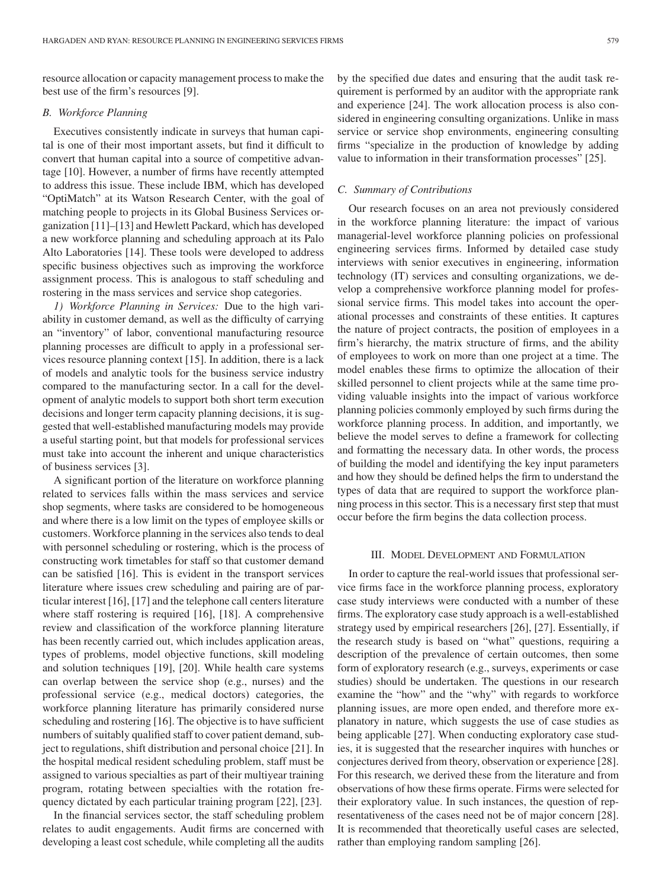resource allocation or capacity management process to make the best use of the firm's resources [9].

#### *B. Workforce Planning*

Executives consistently indicate in surveys that human capital is one of their most important assets, but find it difficult to convert that human capital into a source of competitive advantage [10]. However, a number of firms have recently attempted to address this issue. These include IBM, which has developed "OptiMatch" at its Watson Research Center, with the goal of matching people to projects in its Global Business Services organization [11]–[13] and Hewlett Packard, which has developed a new workforce planning and scheduling approach at its Palo Alto Laboratories [14]. These tools were developed to address specific business objectives such as improving the workforce assignment process. This is analogous to staff scheduling and rostering in the mass services and service shop categories.

*1) Workforce Planning in Services:* Due to the high variability in customer demand, as well as the difficulty of carrying an "inventory" of labor, conventional manufacturing resource planning processes are difficult to apply in a professional services resource planning context [15]. In addition, there is a lack of models and analytic tools for the business service industry compared to the manufacturing sector. In a call for the development of analytic models to support both short term execution decisions and longer term capacity planning decisions, it is suggested that well-established manufacturing models may provide a useful starting point, but that models for professional services must take into account the inherent and unique characteristics of business services [3].

A significant portion of the literature on workforce planning related to services falls within the mass services and service shop segments, where tasks are considered to be homogeneous and where there is a low limit on the types of employee skills or customers. Workforce planning in the services also tends to deal with personnel scheduling or rostering, which is the process of constructing work timetables for staff so that customer demand can be satisfied [16]. This is evident in the transport services literature where issues crew scheduling and pairing are of particular interest [16], [17] and the telephone call centers literature where staff rostering is required [16], [18]. A comprehensive review and classification of the workforce planning literature has been recently carried out, which includes application areas, types of problems, model objective functions, skill modeling and solution techniques [19], [20]. While health care systems can overlap between the service shop (e.g., nurses) and the professional service (e.g., medical doctors) categories, the workforce planning literature has primarily considered nurse scheduling and rostering [16]. The objective is to have sufficient numbers of suitably qualified staff to cover patient demand, subject to regulations, shift distribution and personal choice [21]. In the hospital medical resident scheduling problem, staff must be assigned to various specialties as part of their multiyear training program, rotating between specialties with the rotation frequency dictated by each particular training program [22], [23].

In the financial services sector, the staff scheduling problem relates to audit engagements. Audit firms are concerned with developing a least cost schedule, while completing all the audits by the specified due dates and ensuring that the audit task requirement is performed by an auditor with the appropriate rank and experience [24]. The work allocation process is also considered in engineering consulting organizations. Unlike in mass service or service shop environments, engineering consulting firms "specialize in the production of knowledge by adding value to information in their transformation processes" [25].

#### *C. Summary of Contributions*

Our research focuses on an area not previously considered in the workforce planning literature: the impact of various managerial-level workforce planning policies on professional engineering services firms. Informed by detailed case study interviews with senior executives in engineering, information technology (IT) services and consulting organizations, we develop a comprehensive workforce planning model for professional service firms. This model takes into account the operational processes and constraints of these entities. It captures the nature of project contracts, the position of employees in a firm's hierarchy, the matrix structure of firms, and the ability of employees to work on more than one project at a time. The model enables these firms to optimize the allocation of their skilled personnel to client projects while at the same time providing valuable insights into the impact of various workforce planning policies commonly employed by such firms during the workforce planning process. In addition, and importantly, we believe the model serves to define a framework for collecting and formatting the necessary data. In other words, the process of building the model and identifying the key input parameters and how they should be defined helps the firm to understand the types of data that are required to support the workforce planning process in this sector. This is a necessary first step that must occur before the firm begins the data collection process.

#### III. MODEL DEVELOPMENT AND FORMULATION

In order to capture the real-world issues that professional service firms face in the workforce planning process, exploratory case study interviews were conducted with a number of these firms. The exploratory case study approach is a well-established strategy used by empirical researchers [26], [27]. Essentially, if the research study is based on "what" questions, requiring a description of the prevalence of certain outcomes, then some form of exploratory research (e.g., surveys, experiments or case studies) should be undertaken. The questions in our research examine the "how" and the "why" with regards to workforce planning issues, are more open ended, and therefore more explanatory in nature, which suggests the use of case studies as being applicable [27]. When conducting exploratory case studies, it is suggested that the researcher inquires with hunches or conjectures derived from theory, observation or experience [28]. For this research, we derived these from the literature and from observations of how these firms operate. Firms were selected for their exploratory value. In such instances, the question of representativeness of the cases need not be of major concern [28]. It is recommended that theoretically useful cases are selected, rather than employing random sampling [26].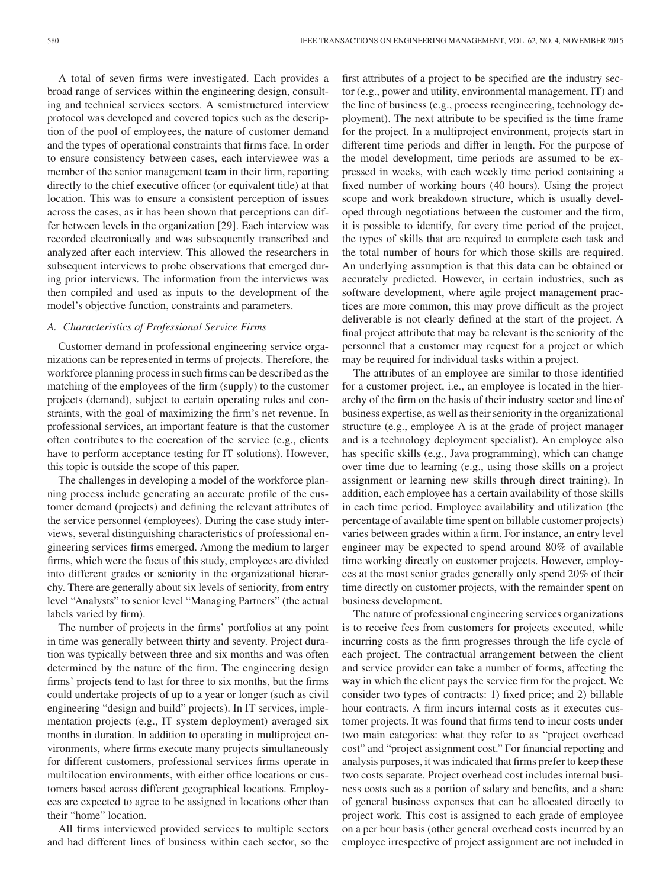A total of seven firms were investigated. Each provides a broad range of services within the engineering design, consulting and technical services sectors. A semistructured interview protocol was developed and covered topics such as the description of the pool of employees, the nature of customer demand and the types of operational constraints that firms face. In order to ensure consistency between cases, each interviewee was a member of the senior management team in their firm, reporting directly to the chief executive officer (or equivalent title) at that location. This was to ensure a consistent perception of issues across the cases, as it has been shown that perceptions can differ between levels in the organization [29]. Each interview was recorded electronically and was subsequently transcribed and analyzed after each interview. This allowed the researchers in subsequent interviews to probe observations that emerged during prior interviews. The information from the interviews was then compiled and used as inputs to the development of the model's objective function, constraints and parameters.

#### *A. Characteristics of Professional Service Firms*

Customer demand in professional engineering service organizations can be represented in terms of projects. Therefore, the workforce planning process in such firms can be described as the matching of the employees of the firm (supply) to the customer projects (demand), subject to certain operating rules and constraints, with the goal of maximizing the firm's net revenue. In professional services, an important feature is that the customer often contributes to the cocreation of the service (e.g., clients have to perform acceptance testing for IT solutions). However, this topic is outside the scope of this paper.

The challenges in developing a model of the workforce planning process include generating an accurate profile of the customer demand (projects) and defining the relevant attributes of the service personnel (employees). During the case study interviews, several distinguishing characteristics of professional engineering services firms emerged. Among the medium to larger firms, which were the focus of this study, employees are divided into different grades or seniority in the organizational hierarchy. There are generally about six levels of seniority, from entry level "Analysts" to senior level "Managing Partners" (the actual labels varied by firm).

The number of projects in the firms' portfolios at any point in time was generally between thirty and seventy. Project duration was typically between three and six months and was often determined by the nature of the firm. The engineering design firms' projects tend to last for three to six months, but the firms could undertake projects of up to a year or longer (such as civil engineering "design and build" projects). In IT services, implementation projects (e.g., IT system deployment) averaged six months in duration. In addition to operating in multiproject environments, where firms execute many projects simultaneously for different customers, professional services firms operate in multilocation environments, with either office locations or customers based across different geographical locations. Employees are expected to agree to be assigned in locations other than their "home" location.

All firms interviewed provided services to multiple sectors and had different lines of business within each sector, so the first attributes of a project to be specified are the industry sector (e.g., power and utility, environmental management, IT) and the line of business (e.g., process reengineering, technology deployment). The next attribute to be specified is the time frame for the project. In a multiproject environment, projects start in different time periods and differ in length. For the purpose of the model development, time periods are assumed to be expressed in weeks, with each weekly time period containing a fixed number of working hours (40 hours). Using the project scope and work breakdown structure, which is usually developed through negotiations between the customer and the firm, it is possible to identify, for every time period of the project, the types of skills that are required to complete each task and the total number of hours for which those skills are required. An underlying assumption is that this data can be obtained or accurately predicted. However, in certain industries, such as software development, where agile project management practices are more common, this may prove difficult as the project deliverable is not clearly defined at the start of the project. A final project attribute that may be relevant is the seniority of the personnel that a customer may request for a project or which may be required for individual tasks within a project.

The attributes of an employee are similar to those identified for a customer project, i.e., an employee is located in the hierarchy of the firm on the basis of their industry sector and line of business expertise, as well as their seniority in the organizational structure (e.g., employee A is at the grade of project manager and is a technology deployment specialist). An employee also has specific skills (e.g., Java programming), which can change over time due to learning (e.g., using those skills on a project assignment or learning new skills through direct training). In addition, each employee has a certain availability of those skills in each time period. Employee availability and utilization (the percentage of available time spent on billable customer projects) varies between grades within a firm. For instance, an entry level engineer may be expected to spend around 80% of available time working directly on customer projects. However, employees at the most senior grades generally only spend 20% of their time directly on customer projects, with the remainder spent on business development.

The nature of professional engineering services organizations is to receive fees from customers for projects executed, while incurring costs as the firm progresses through the life cycle of each project. The contractual arrangement between the client and service provider can take a number of forms, affecting the way in which the client pays the service firm for the project. We consider two types of contracts: 1) fixed price; and 2) billable hour contracts. A firm incurs internal costs as it executes customer projects. It was found that firms tend to incur costs under two main categories: what they refer to as "project overhead cost" and "project assignment cost." For financial reporting and analysis purposes, it was indicated that firms prefer to keep these two costs separate. Project overhead cost includes internal business costs such as a portion of salary and benefits, and a share of general business expenses that can be allocated directly to project work. This cost is assigned to each grade of employee on a per hour basis (other general overhead costs incurred by an employee irrespective of project assignment are not included in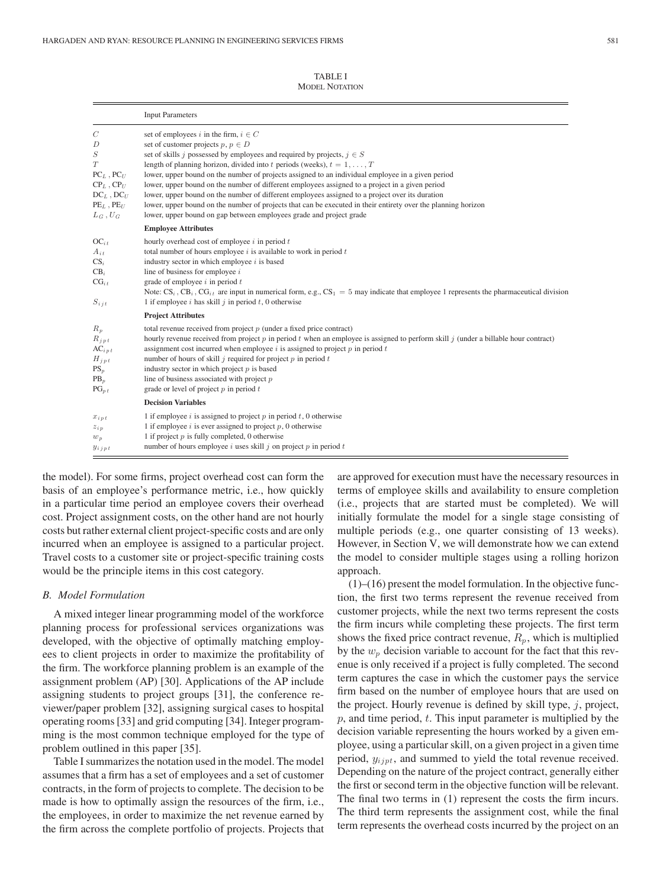| I<br>× | ×<br>۰. |  |
|--------|---------|--|

| <b>TABLE I</b>        |
|-----------------------|
| <b>MODEL NOTATION</b> |

|                                                                                                            | <b>Input Parameters</b>                                                                                                                                                                                                                                                                                                                                                                                                                                                                                                                                                                                                                                                                                                                               |
|------------------------------------------------------------------------------------------------------------|-------------------------------------------------------------------------------------------------------------------------------------------------------------------------------------------------------------------------------------------------------------------------------------------------------------------------------------------------------------------------------------------------------------------------------------------------------------------------------------------------------------------------------------------------------------------------------------------------------------------------------------------------------------------------------------------------------------------------------------------------------|
| C<br>D<br>S<br>T<br>$PC_L$ , $PC_U$<br>$CP_L$ , $CP_U$<br>$DC_L$ , $DC_U$<br>$PE_L$ , $PE_U$<br>$L_G, U_G$ | set of employees i in the firm, $i \in C$<br>set of customer projects $p, p \in D$<br>set of skills j possessed by employees and required by projects, $j \in S$<br>length of planning horizon, divided into t periods (weeks), $t = 1, \ldots, T$<br>lower, upper bound on the number of projects assigned to an individual employee in a given period<br>lower, upper bound on the number of different employees assigned to a project in a given period<br>lower, upper bound on the number of different employees assigned to a project over its duration<br>lower, upper bound on the number of projects that can be executed in their entirety over the planning horizon<br>lower, upper bound on gap between employees grade and project grade |
|                                                                                                            | <b>Employee Attributes</b>                                                                                                                                                                                                                                                                                                                                                                                                                                                                                                                                                                                                                                                                                                                            |
| $OC_{i,t}$<br>$A_{it}$<br>$CS_i$<br>$CB_i$<br>$CG_{it}$<br>$S_{i j t}$                                     | hourly overhead cost of employee $i$ in period $t$<br>total number of hours employee $i$ is available to work in period $t$<br>industry sector in which employee $i$ is based<br>line of business for employee $i$<br>grade of employee $i$ in period $t$<br>Note: $CS_i$ , $CB_i$ , $CG_{it}$ are input in numerical form, e.g., $CS_1 = 5$ may indicate that employee 1 represents the pharmaceutical division<br>1 if employee i has skill j in period $t$ , 0 otherwise                                                                                                                                                                                                                                                                           |
|                                                                                                            | <b>Project Attributes</b>                                                                                                                                                                                                                                                                                                                                                                                                                                                                                                                                                                                                                                                                                                                             |
| $R_p$<br>$R_{ipt}$<br>$AC_{ipt}$<br>$H_{jpt}$<br>$PS_p$<br>$PB_n$<br>$PG_{p t}$                            | total revenue received from project $p$ (under a fixed price contract)<br>hourly revenue received from project $p$ in period $t$ when an employee is assigned to perform skill $j$ (under a billable hour contract)<br>assignment cost incurred when employee $i$ is assigned to project $p$ in period $t$<br>number of hours of skill j required for project $p$ in period $t$<br>industry sector in which project $p$ is based<br>line of business associated with project $p$<br>grade or level of project $p$ in period $t$                                                                                                                                                                                                                       |
|                                                                                                            | <b>Decision Variables</b>                                                                                                                                                                                                                                                                                                                                                                                                                                                                                                                                                                                                                                                                                                                             |
| $x_{i p t}$<br>$z_{i,p}$<br>$w_{p}$<br>$y_{ijpt}$                                                          | 1 if employee i is assigned to project $p$ in period $t$ , 0 otherwise<br>1 if employee $i$ is ever assigned to project $p$ , 0 otherwise<br>1 if project $p$ is fully completed, 0 otherwise<br>number of hours employee i uses skill j on project $p$ in period $t$                                                                                                                                                                                                                                                                                                                                                                                                                                                                                 |

the model). For some firms, project overhead cost can form the basis of an employee's performance metric, i.e., how quickly in a particular time period an employee covers their overhead cost. Project assignment costs, on the other hand are not hourly costs but rather external client project-specific costs and are only incurred when an employee is assigned to a particular project. Travel costs to a customer site or project-specific training costs would be the principle items in this cost category.

#### *B. Model Formulation*

A mixed integer linear programming model of the workforce planning process for professional services organizations was developed, with the objective of optimally matching employees to client projects in order to maximize the profitability of the firm. The workforce planning problem is an example of the assignment problem (AP) [30]. Applications of the AP include assigning students to project groups [31], the conference reviewer/paper problem [32], assigning surgical cases to hospital operating rooms [33] and grid computing [34]. Integer programming is the most common technique employed for the type of problem outlined in this paper [35].

Table I summarizes the notation used in the model. The model assumes that a firm has a set of employees and a set of customer contracts, in the form of projects to complete. The decision to be made is how to optimally assign the resources of the firm, i.e., the employees, in order to maximize the net revenue earned by the firm across the complete portfolio of projects. Projects that

are approved for execution must have the necessary resources in terms of employee skills and availability to ensure completion (i.e., projects that are started must be completed). We will initially formulate the model for a single stage consisting of multiple periods (e.g., one quarter consisting of 13 weeks). However, in Section V, we will demonstrate how we can extend the model to consider multiple stages using a rolling horizon approach.

 $(1)$ – $(16)$  present the model formulation. In the objective function, the first two terms represent the revenue received from customer projects, while the next two terms represent the costs the firm incurs while completing these projects. The first term shows the fixed price contract revenue,  $R_p$ , which is multiplied by the  $w_p$  decision variable to account for the fact that this revenue is only received if a project is fully completed. The second term captures the case in which the customer pays the service firm based on the number of employee hours that are used on the project. Hourly revenue is defined by skill type,  $j$ , project,  $p$ , and time period,  $t$ . This input parameter is multiplied by the decision variable representing the hours worked by a given employee, using a particular skill, on a given project in a given time period,  $y_{ijpt}$ , and summed to yield the total revenue received. Depending on the nature of the project contract, generally either the first or second term in the objective function will be relevant. The final two terms in (1) represent the costs the firm incurs. The third term represents the assignment cost, while the final term represents the overhead costs incurred by the project on an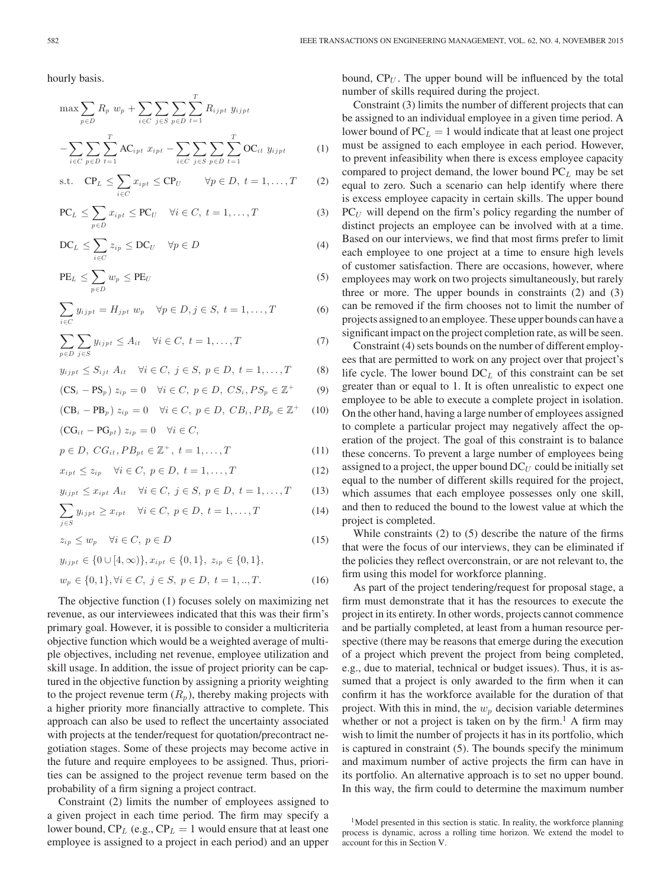hourly basis.

$$
\max \sum_{p \in D} R_p w_p + \sum_{i \in C} \sum_{j \in S} \sum_{p \in D} \sum_{t=1}^T R_{ijpt} y_{ijpt} \n- \sum_{i \in C} \sum_{p \in D} \sum_{t=1}^T \mathbf{AC}_{ipt} x_{ipt} - \sum_{i \in C} \sum_{j \in S} \sum_{p \in D} \sum_{t=1}^T \mathbf{OC}_{it} y_{ijpt}
$$
\n(1)

s.t. 
$$
CP_L \le \sum_{i \in C} x_{ipt} \le CP_U
$$
  $\forall p \in D, t = 1,...,T$  (2)

$$
\text{PC}_{L} \leq \sum_{p \in D} x_{ipt} \leq \text{PC}_{U} \quad \forall i \in C, \ t = 1, \dots, T \tag{3}
$$

$$
\mathsf{DC}_L \le \sum_{i \in C} z_{ip} \le \mathsf{DC}_U \quad \forall p \in D \tag{4}
$$

$$
PE_L \le \sum_{p \in D} w_p \le PE_U \tag{5}
$$

$$
\sum_{i \in C} y_{ijpt} = H_{jpt} w_p \quad \forall p \in D, j \in S, t = 1, \dots, T
$$
 (6)

$$
\sum_{p \in D} \sum_{j \in S} y_{ijpt} \le A_{it} \quad \forall i \in C, \ t = 1, \dots, T
$$
 (7)

$$
y_{ijpt} \leq S_{ijt} \ A_{it} \quad \forall i \in C, \ j \in S, \ p \in D, \ t = 1, ..., T
$$
 (8)

$$
(\text{CS}_i - \text{PS}_p) z_{ip} = 0 \quad \forall i \in C, \ p \in D, \ CS_i, PS_p \in \mathbb{Z}^+ \tag{9}
$$

$$
(\mathbf{CB}_i - \mathbf{PB}_p) z_{ip} = 0 \quad \forall i \in C, \ p \in D, \ CB_i, PB_p \in \mathbb{Z}^+ \quad (10)
$$
  

$$
(\mathbf{CG}_{it} - \mathbf{PG}_{pt}) z_{ip} = 0 \quad \forall i \in C,
$$

$$
p \in D, \ CG_{it}, PB_{pt} \in \mathbb{Z}^+, \ t = 1, \dots, T \tag{11}
$$

$$
x_{ipt} \le z_{ip} \quad \forall i \in C, \ p \in D, \ t = 1, \dots, T \tag{12}
$$

$$
y_{ijpt} \le x_{ipt} A_{it} \quad \forall i \in C, j \in S, p \in D, t = 1,...,T
$$
 (13)

$$
\sum_{j \in S} y_{ijpt} \ge x_{ipt} \quad \forall i \in C, \ p \in D, \ t = 1, \dots, T \tag{14}
$$

$$
z_{ip} \le w_p \quad \forall i \in C, \ p \in D \tag{15}
$$

$$
y_{ijpt} \in \{0 \cup [4,\infty)\}, x_{ipt} \in \{0,1\}, z_{ip} \in \{0,1\},
$$
  

$$
w_p \in \{0,1\}, \forall i \in C, j \in S, p \in D, t = 1, ..., T.
$$
 (16)

The objective function (1) focuses solely on maximizing net revenue, as our interviewees indicated that this was their firm's primary goal. However, it is possible to consider a multicriteria objective function which would be a weighted average of multiple objectives, including net revenue, employee utilization and skill usage. In addition, the issue of project priority can be captured in the objective function by assigning a priority weighting to the project revenue term  $(R_p)$ , thereby making projects with a higher priority more financially attractive to complete. This approach can also be used to reflect the uncertainty associated with projects at the tender/request for quotation/precontract negotiation stages. Some of these projects may become active in the future and require employees to be assigned. Thus, priorities can be assigned to the project revenue term based on the probability of a firm signing a project contract.

Constraint (2) limits the number of employees assigned to a given project in each time period. The firm may specify a lower bound,  $CP_L$  (e.g.,  $CP_L = 1$  would ensure that at least one employee is assigned to a project in each period) and an upper bound,  $CP_U$ . The upper bound will be influenced by the total number of skills required during the project.

Constraint (3) limits the number of different projects that can be assigned to an individual employee in a given time period. A lower bound of  $PC<sub>L</sub> = 1$  would indicate that at least one project must be assigned to each employee in each period. However, to prevent infeasibility when there is excess employee capacity compared to project demand, the lower bound  $PC<sub>L</sub>$  may be set equal to zero. Such a scenario can help identify where there is excess employee capacity in certain skills. The upper bound  $PC_U$  will depend on the firm's policy regarding the number of distinct projects an employee can be involved with at a time. Based on our interviews, we find that most firms prefer to limit each employee to one project at a time to ensure high levels of customer satisfaction. There are occasions, however, where employees may work on two projects simultaneously, but rarely three or more. The upper bounds in constraints (2) and (3) can be removed if the firm chooses not to limit the number of projects assigned to an employee. These upper bounds can have a significant impact on the project completion rate, as will be seen.

Constraint (4) sets bounds on the number of different employees that are permitted to work on any project over that project's life cycle. The lower bound  $DC<sub>L</sub>$  of this constraint can be set greater than or equal to 1. It is often unrealistic to expect one employee to be able to execute a complete project in isolation. On the other hand, having a large number of employees assigned to complete a particular project may negatively affect the operation of the project. The goal of this constraint is to balance these concerns. To prevent a large number of employees being assigned to a project, the upper bound  $DC_U$  could be initially set equal to the number of different skills required for the project, which assumes that each employee possesses only one skill, and then to reduced the bound to the lowest value at which the project is completed.

While constraints (2) to (5) describe the nature of the firms that were the focus of our interviews, they can be eliminated if the policies they reflect overconstrain, or are not relevant to, the firm using this model for workforce planning.

As part of the project tendering/request for proposal stage, a firm must demonstrate that it has the resources to execute the project in its entirety. In other words, projects cannot commence and be partially completed, at least from a human resource perspective (there may be reasons that emerge during the execution of a project which prevent the project from being completed, e.g., due to material, technical or budget issues). Thus, it is assumed that a project is only awarded to the firm when it can confirm it has the workforce available for the duration of that project. With this in mind, the  $w_p$  decision variable determines whether or not a project is taken on by the firm.<sup>1</sup> A firm may wish to limit the number of projects it has in its portfolio, which is captured in constraint (5). The bounds specify the minimum and maximum number of active projects the firm can have in its portfolio. An alternative approach is to set no upper bound. In this way, the firm could to determine the maximum number

<sup>&</sup>lt;sup>1</sup>Model presented in this section is static. In reality, the workforce planning process is dynamic, across a rolling time horizon. We extend the model to account for this in Section V.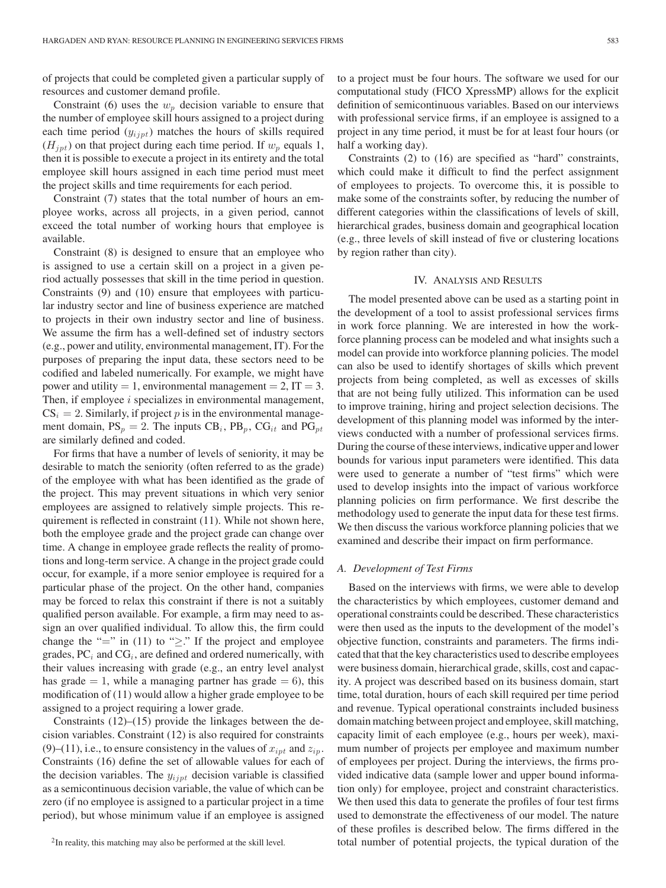of projects that could be completed given a particular supply of resources and customer demand profile.

Constraint (6) uses the  $w_p$  decision variable to ensure that the number of employee skill hours assigned to a project during each time period  $(y_{i j n t})$  matches the hours of skills required  $(H_{jpt})$  on that project during each time period. If  $w_p$  equals 1, then it is possible to execute a project in its entirety and the total employee skill hours assigned in each time period must meet the project skills and time requirements for each period.

Constraint (7) states that the total number of hours an employee works, across all projects, in a given period, cannot exceed the total number of working hours that employee is available.

Constraint (8) is designed to ensure that an employee who is assigned to use a certain skill on a project in a given period actually possesses that skill in the time period in question. Constraints (9) and (10) ensure that employees with particular industry sector and line of business experience are matched to projects in their own industry sector and line of business. We assume the firm has a well-defined set of industry sectors (e.g., power and utility, environmental management, IT). For the purposes of preparing the input data, these sectors need to be codified and labeled numerically. For example, we might have power and utility = 1, environmental management =  $2, IT = 3$ . Then, if employee  $i$  specializes in environmental management,  $CS_i = 2$ . Similarly, if project p is in the environmental management domain,  $PS_p = 2$ . The inputs  $CB_i$ ,  $PB_p$ ,  $CG_{it}$  and  $PG_{pt}$ are similarly defined and coded.

For firms that have a number of levels of seniority, it may be desirable to match the seniority (often referred to as the grade) of the employee with what has been identified as the grade of the project. This may prevent situations in which very senior employees are assigned to relatively simple projects. This requirement is reflected in constraint (11). While not shown here, both the employee grade and the project grade can change over time. A change in employee grade reflects the reality of promotions and long-term service. A change in the project grade could occur, for example, if a more senior employee is required for a particular phase of the project. On the other hand, companies may be forced to relax this constraint if there is not a suitably qualified person available. For example, a firm may need to assign an over qualified individual. To allow this, the firm could change the "=" in (11) to " $\ge$ ." If the project and employee grades,  $PC<sub>i</sub>$  and  $CG<sub>i</sub>$ , are defined and ordered numerically, with their values increasing with grade (e.g., an entry level analyst has grade  $= 1$ , while a managing partner has grade  $= 6$ ), this modification of (11) would allow a higher grade employee to be assigned to a project requiring a lower grade.

Constraints  $(12)$ – $(15)$  provide the linkages between the decision variables. Constraint (12) is also required for constraints (9)–(11), i.e., to ensure consistency in the values of  $x_{int}$  and  $z_{ip}$ . Constraints (16) define the set of allowable values for each of the decision variables. The  $y_{ijpt}$  decision variable is classified as a semicontinuous decision variable, the value of which can be zero (if no employee is assigned to a particular project in a time period), but whose minimum value if an employee is assigned

to a project must be four hours. The software we used for our computational study (FICO XpressMP) allows for the explicit definition of semicontinuous variables. Based on our interviews with professional service firms, if an employee is assigned to a project in any time period, it must be for at least four hours (or half a working day).

Constraints (2) to (16) are specified as "hard" constraints, which could make it difficult to find the perfect assignment of employees to projects. To overcome this, it is possible to make some of the constraints softer, by reducing the number of different categories within the classifications of levels of skill, hierarchical grades, business domain and geographical location (e.g., three levels of skill instead of five or clustering locations by region rather than city).

#### IV. ANALYSIS AND RESULTS

The model presented above can be used as a starting point in the development of a tool to assist professional services firms in work force planning. We are interested in how the workforce planning process can be modeled and what insights such a model can provide into workforce planning policies. The model can also be used to identify shortages of skills which prevent projects from being completed, as well as excesses of skills that are not being fully utilized. This information can be used to improve training, hiring and project selection decisions. The development of this planning model was informed by the interviews conducted with a number of professional services firms. During the course of these interviews, indicative upper and lower bounds for various input parameters were identified. This data were used to generate a number of "test firms" which were used to develop insights into the impact of various workforce planning policies on firm performance. We first describe the methodology used to generate the input data for these test firms. We then discuss the various workforce planning policies that we examined and describe their impact on firm performance.

#### *A. Development of Test Firms*

Based on the interviews with firms, we were able to develop the characteristics by which employees, customer demand and operational constraints could be described. These characteristics were then used as the inputs to the development of the model's objective function, constraints and parameters. The firms indicated that that the key characteristics used to describe employees were business domain, hierarchical grade, skills, cost and capacity. A project was described based on its business domain, start time, total duration, hours of each skill required per time period and revenue. Typical operational constraints included business domain matching between project and employee, skill matching, capacity limit of each employee (e.g., hours per week), maximum number of projects per employee and maximum number of employees per project. During the interviews, the firms provided indicative data (sample lower and upper bound information only) for employee, project and constraint characteristics. We then used this data to generate the profiles of four test firms used to demonstrate the effectiveness of our model. The nature of these profiles is described below. The firms differed in the total number of potential projects, the typical duration of the

<sup>&</sup>lt;sup>2</sup>In reality, this matching may also be performed at the skill level.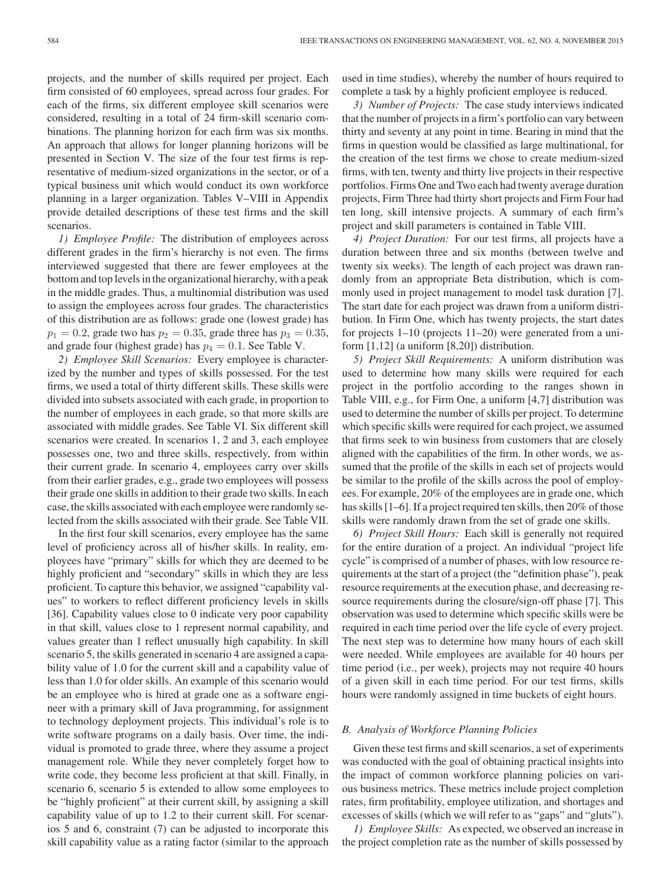projects, and the number of skills required per project. Each firm consisted of 60 employees, spread across four grades. For each of the firms, six different employee skill scenarios were considered, resulting in a total of 24 firm-skill scenario combinations. The planning horizon for each firm was six months. An approach that allows for longer planning horizons will be presented in Section V. The size of the four test firms is representative of medium-sized organizations in the sector, or of a typical business unit which would conduct its own workforce planning in a larger organization. Tables V–VIII in Appendix provide detailed descriptions of these test firms and the skill scenarios.

*1) Employee Profile:* The distribution of employees across different grades in the firm's hierarchy is not even. The firms interviewed suggested that there are fewer employees at the bottom and top levels in the organizational hierarchy, with a peak in the middle grades. Thus, a multinomial distribution was used to assign the employees across four grades. The characteristics of this distribution are as follows: grade one (lowest grade) has  $p_1 = 0.2$ , grade two has  $p_2 = 0.35$ , grade three has  $p_3 = 0.35$ , and grade four (highest grade) has  $p_4 = 0.1$ . See Table V.

*2) Employee Skill Scenarios:* Every employee is characterized by the number and types of skills possessed. For the test firms, we used a total of thirty different skills. These skills were divided into subsets associated with each grade, in proportion to the number of employees in each grade, so that more skills are associated with middle grades. See Table VI. Six different skill scenarios were created. In scenarios 1, 2 and 3, each employee possesses one, two and three skills, respectively, from within their current grade. In scenario 4, employees carry over skills from their earlier grades, e.g., grade two employees will possess their grade one skills in addition to their grade two skills. In each case, the skills associated with each employee were randomly selected from the skills associated with their grade. See Table VII.

In the first four skill scenarios, every employee has the same level of proficiency across all of his/her skills. In reality, employees have "primary" skills for which they are deemed to be highly proficient and "secondary" skills in which they are less proficient. To capture this behavior, we assigned "capability values" to workers to reflect different proficiency levels in skills [36]. Capability values close to 0 indicate very poor capability in that skill, values close to 1 represent normal capability, and values greater than 1 reflect unusually high capability. In skill scenario 5, the skills generated in scenario 4 are assigned a capability value of 1.0 for the current skill and a capability value of less than 1.0 for older skills. An example of this scenario would be an employee who is hired at grade one as a software engineer with a primary skill of Java programming, for assignment to technology deployment projects. This individual's role is to write software programs on a daily basis. Over time, the individual is promoted to grade three, where they assume a project management role. While they never completely forget how to write code, they become less proficient at that skill. Finally, in scenario 6, scenario 5 is extended to allow some employees to be "highly proficient" at their current skill, by assigning a skill capability value of up to 1.2 to their current skill. For scenarios 5 and 6, constraint (7) can be adjusted to incorporate this skill capability value as a rating factor (similar to the approach

used in time studies), whereby the number of hours required to complete a task by a highly proficient employee is reduced.

*3) Number of Projects:* The case study interviews indicated that the number of projects in a firm's portfolio can vary between thirty and seventy at any point in time. Bearing in mind that the firms in question would be classified as large multinational, for the creation of the test firms we chose to create medium-sized firms, with ten, twenty and thirty live projects in their respective portfolios. Firms One and Two each had twenty average duration projects, Firm Three had thirty short projects and Firm Four had ten long, skill intensive projects. A summary of each firm's project and skill parameters is contained in Table VIII.

*4) Project Duration:* For our test firms, all projects have a duration between three and six months (between twelve and twenty six weeks). The length of each project was drawn randomly from an appropriate Beta distribution, which is commonly used in project management to model task duration [7]. The start date for each project was drawn from a uniform distribution. In Firm One, which has twenty projects, the start dates for projects 1–10 (projects 11–20) were generated from a uniform [1,12] (a uniform [8,20]) distribution.

*5) Project Skill Requirements:* A uniform distribution was used to determine how many skills were required for each project in the portfolio according to the ranges shown in Table VIII, e.g., for Firm One, a uniform [4,7] distribution was used to determine the number of skills per project. To determine which specific skills were required for each project, we assumed that firms seek to win business from customers that are closely aligned with the capabilities of the firm. In other words, we assumed that the profile of the skills in each set of projects would be similar to the profile of the skills across the pool of employees. For example, 20% of the employees are in grade one, which has skills [1–6]. If a project required ten skills, then 20% of those skills were randomly drawn from the set of grade one skills.

*6) Project Skill Hours:* Each skill is generally not required for the entire duration of a project. An individual "project life cycle" is comprised of a number of phases, with low resource requirements at the start of a project (the "definition phase"), peak resource requirements at the execution phase, and decreasing resource requirements during the closure/sign-off phase [7]. This observation was used to determine which specific skills were be required in each time period over the life cycle of every project. The next step was to determine how many hours of each skill were needed. While employees are available for 40 hours per time period (i.e., per week), projects may not require 40 hours of a given skill in each time period. For our test firms, skills hours were randomly assigned in time buckets of eight hours.

#### *B. Analysis of Workforce Planning Policies*

Given these test firms and skill scenarios, a set of experiments was conducted with the goal of obtaining practical insights into the impact of common workforce planning policies on various business metrics. These metrics include project completion rates, firm profitability, employee utilization, and shortages and excesses of skills (which we will refer to as "gaps" and "gluts").

*1) Employee Skills:* As expected, we observed an increase in the project completion rate as the number of skills possessed by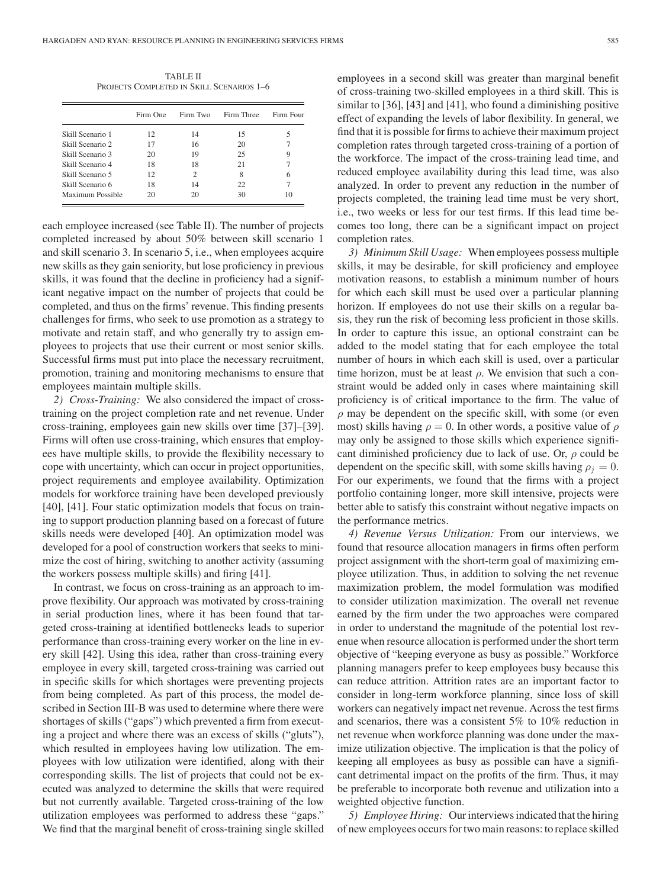TABLE II PROJECTS COMPLETED IN SKILL SCENARIOS 1–6

|                  | Firm One | Firm Two | Firm Three | Firm Four |
|------------------|----------|----------|------------|-----------|
| Skill Scenario 1 | 12       | 14       | 15         |           |
| Skill Scenario 2 | 17       | 16       | 20         |           |
| Skill Scenario 3 | 20       | 19       | 25         | 9         |
| Skill Scenario 4 | 18       | 18       | 21         | 7         |
| Skill Scenario 5 | 12       | 2        | 8          | 6         |
| Skill Scenario 6 | 18       | 14       | 22         | 7         |
| Maximum Possible | 20       | 20       | 30         | 10        |

each employee increased (see Table II). The number of projects completed increased by about 50% between skill scenario 1 and skill scenario 3. In scenario 5, i.e., when employees acquire new skills as they gain seniority, but lose proficiency in previous skills, it was found that the decline in proficiency had a significant negative impact on the number of projects that could be completed, and thus on the firms' revenue. This finding presents challenges for firms, who seek to use promotion as a strategy to motivate and retain staff, and who generally try to assign employees to projects that use their current or most senior skills. Successful firms must put into place the necessary recruitment, promotion, training and monitoring mechanisms to ensure that employees maintain multiple skills.

*2) Cross-Training:* We also considered the impact of crosstraining on the project completion rate and net revenue. Under cross-training, employees gain new skills over time [37]–[39]. Firms will often use cross-training, which ensures that employees have multiple skills, to provide the flexibility necessary to cope with uncertainty, which can occur in project opportunities, project requirements and employee availability. Optimization models for workforce training have been developed previously [40], [41]. Four static optimization models that focus on training to support production planning based on a forecast of future skills needs were developed [40]. An optimization model was developed for a pool of construction workers that seeks to minimize the cost of hiring, switching to another activity (assuming the workers possess multiple skills) and firing [41].

In contrast, we focus on cross-training as an approach to improve flexibility. Our approach was motivated by cross-training in serial production lines, where it has been found that targeted cross-training at identified bottlenecks leads to superior performance than cross-training every worker on the line in every skill [42]. Using this idea, rather than cross-training every employee in every skill, targeted cross-training was carried out in specific skills for which shortages were preventing projects from being completed. As part of this process, the model described in Section III-B was used to determine where there were shortages of skills ("gaps") which prevented a firm from executing a project and where there was an excess of skills ("gluts"), which resulted in employees having low utilization. The employees with low utilization were identified, along with their corresponding skills. The list of projects that could not be executed was analyzed to determine the skills that were required but not currently available. Targeted cross-training of the low utilization employees was performed to address these "gaps." We find that the marginal benefit of cross-training single skilled employees in a second skill was greater than marginal benefit of cross-training two-skilled employees in a third skill. This is similar to [36], [43] and [41], who found a diminishing positive effect of expanding the levels of labor flexibility. In general, we find that it is possible for firms to achieve their maximum project completion rates through targeted cross-training of a portion of the workforce. The impact of the cross-training lead time, and reduced employee availability during this lead time, was also analyzed. In order to prevent any reduction in the number of projects completed, the training lead time must be very short, i.e., two weeks or less for our test firms. If this lead time becomes too long, there can be a significant impact on project completion rates.

*3) Minimum Skill Usage:* When employees possess multiple skills, it may be desirable, for skill proficiency and employee motivation reasons, to establish a minimum number of hours for which each skill must be used over a particular planning horizon. If employees do not use their skills on a regular basis, they run the risk of becoming less proficient in those skills. In order to capture this issue, an optional constraint can be added to the model stating that for each employee the total number of hours in which each skill is used, over a particular time horizon, must be at least  $\rho$ . We envision that such a constraint would be added only in cases where maintaining skill proficiency is of critical importance to the firm. The value of  $\rho$  may be dependent on the specific skill, with some (or even most) skills having  $\rho = 0$ . In other words, a positive value of  $\rho$ may only be assigned to those skills which experience significant diminished proficiency due to lack of use. Or,  $\rho$  could be dependent on the specific skill, with some skills having  $\rho_i = 0$ . For our experiments, we found that the firms with a project portfolio containing longer, more skill intensive, projects were better able to satisfy this constraint without negative impacts on the performance metrics.

*4) Revenue Versus Utilization:* From our interviews, we found that resource allocation managers in firms often perform project assignment with the short-term goal of maximizing employee utilization. Thus, in addition to solving the net revenue maximization problem, the model formulation was modified to consider utilization maximization. The overall net revenue earned by the firm under the two approaches were compared in order to understand the magnitude of the potential lost revenue when resource allocation is performed under the short term objective of "keeping everyone as busy as possible." Workforce planning managers prefer to keep employees busy because this can reduce attrition. Attrition rates are an important factor to consider in long-term workforce planning, since loss of skill workers can negatively impact net revenue. Across the test firms and scenarios, there was a consistent 5% to 10% reduction in net revenue when workforce planning was done under the maximize utilization objective. The implication is that the policy of keeping all employees as busy as possible can have a significant detrimental impact on the profits of the firm. Thus, it may be preferable to incorporate both revenue and utilization into a weighted objective function.

*5) Employee Hiring:* Our interviews indicated that the hiring of new employees occurs for two main reasons: to replace skilled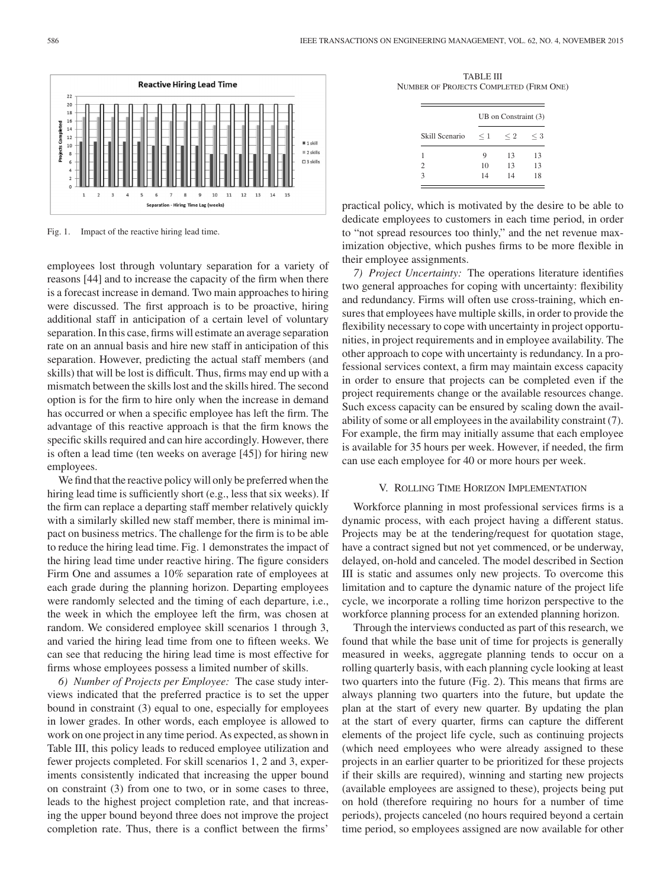

Fig. 1. Impact of the reactive hiring lead time.

employees lost through voluntary separation for a variety of reasons [44] and to increase the capacity of the firm when there is a forecast increase in demand. Two main approaches to hiring were discussed. The first approach is to be proactive, hiring additional staff in anticipation of a certain level of voluntary separation. In this case, firms will estimate an average separation rate on an annual basis and hire new staff in anticipation of this separation. However, predicting the actual staff members (and skills) that will be lost is difficult. Thus, firms may end up with a mismatch between the skills lost and the skills hired. The second option is for the firm to hire only when the increase in demand has occurred or when a specific employee has left the firm. The advantage of this reactive approach is that the firm knows the specific skills required and can hire accordingly. However, there is often a lead time (ten weeks on average [45]) for hiring new employees.

We find that the reactive policy will only be preferred when the hiring lead time is sufficiently short (e.g., less that six weeks). If the firm can replace a departing staff member relatively quickly with a similarly skilled new staff member, there is minimal impact on business metrics. The challenge for the firm is to be able to reduce the hiring lead time. Fig. 1 demonstrates the impact of the hiring lead time under reactive hiring. The figure considers Firm One and assumes a 10% separation rate of employees at each grade during the planning horizon. Departing employees were randomly selected and the timing of each departure, i.e., the week in which the employee left the firm, was chosen at random. We considered employee skill scenarios 1 through 3, and varied the hiring lead time from one to fifteen weeks. We can see that reducing the hiring lead time is most effective for firms whose employees possess a limited number of skills.

*6) Number of Projects per Employee:* The case study interviews indicated that the preferred practice is to set the upper bound in constraint (3) equal to one, especially for employees in lower grades. In other words, each employee is allowed to work on one project in any time period. As expected, as shown in Table III, this policy leads to reduced employee utilization and fewer projects completed. For skill scenarios 1, 2 and 3, experiments consistently indicated that increasing the upper bound on constraint (3) from one to two, or in some cases to three, leads to the highest project completion rate, and that increasing the upper bound beyond three does not improve the project completion rate. Thus, there is a conflict between the firms'

TABLE III NUMBER OF PROJECTS COMPLETED (FIRM ONE)

|                | UB on Constraint (3) |          |          |
|----------------|----------------------|----------|----------|
| Skill Scenario | $\leq 1$             | $\leq 2$ | $\leq 3$ |
|                | 9                    | 13       | 13       |
| $\mathfrak{D}$ | 10                   | 13       | 13       |
|                | 14                   | 14       | 18       |

practical policy, which is motivated by the desire to be able to dedicate employees to customers in each time period, in order to "not spread resources too thinly," and the net revenue maximization objective, which pushes firms to be more flexible in their employee assignments.

*7) Project Uncertainty:* The operations literature identifies two general approaches for coping with uncertainty: flexibility and redundancy. Firms will often use cross-training, which ensures that employees have multiple skills, in order to provide the flexibility necessary to cope with uncertainty in project opportunities, in project requirements and in employee availability. The other approach to cope with uncertainty is redundancy. In a professional services context, a firm may maintain excess capacity in order to ensure that projects can be completed even if the project requirements change or the available resources change. Such excess capacity can be ensured by scaling down the availability of some or all employees in the availability constraint (7). For example, the firm may initially assume that each employee is available for 35 hours per week. However, if needed, the firm can use each employee for 40 or more hours per week.

#### V. ROLLING TIME HORIZON IMPLEMENTATION

Workforce planning in most professional services firms is a dynamic process, with each project having a different status. Projects may be at the tendering/request for quotation stage, have a contract signed but not yet commenced, or be underway, delayed, on-hold and canceled. The model described in Section III is static and assumes only new projects. To overcome this limitation and to capture the dynamic nature of the project life cycle, we incorporate a rolling time horizon perspective to the workforce planning process for an extended planning horizon.

Through the interviews conducted as part of this research, we found that while the base unit of time for projects is generally measured in weeks, aggregate planning tends to occur on a rolling quarterly basis, with each planning cycle looking at least two quarters into the future (Fig. 2). This means that firms are always planning two quarters into the future, but update the plan at the start of every new quarter. By updating the plan at the start of every quarter, firms can capture the different elements of the project life cycle, such as continuing projects (which need employees who were already assigned to these projects in an earlier quarter to be prioritized for these projects if their skills are required), winning and starting new projects (available employees are assigned to these), projects being put on hold (therefore requiring no hours for a number of time periods), projects canceled (no hours required beyond a certain time period, so employees assigned are now available for other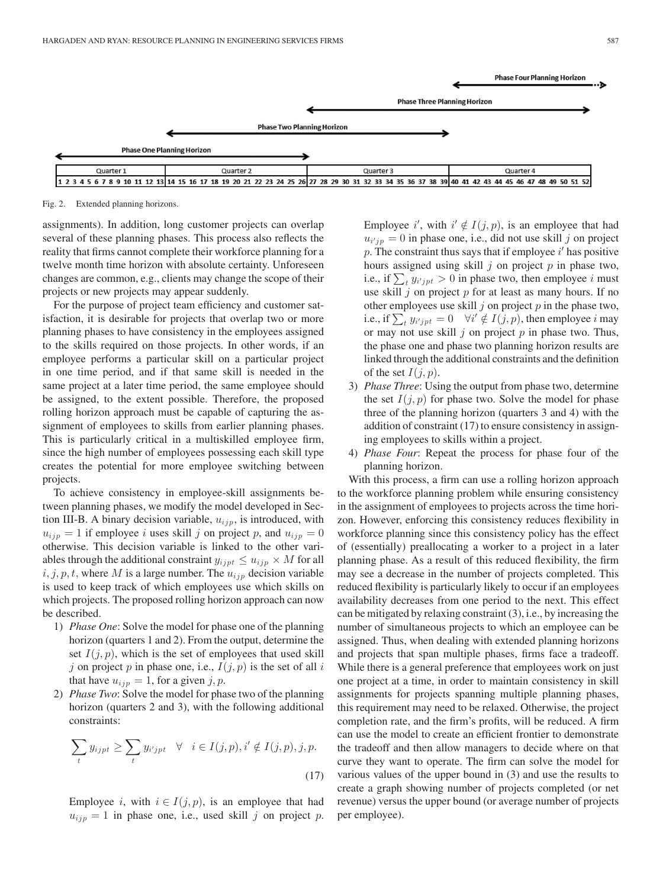Quarter 2



1 2 3 4 5 6 7 8 9 10 11 12 13 14 15 16 17 18 19 20 21 22 23 24 25 26 27 28 29 30 31 32 33 34 35 36 37 38 39 40 41 42 43 44 45 46 47 48 49 50 51 52

Quarter 3

Fig. 2. Extended planning horizons.

Quarter 1

assignments). In addition, long customer projects can overlap several of these planning phases. This process also reflects the reality that firms cannot complete their workforce planning for a twelve month time horizon with absolute certainty. Unforeseen changes are common, e.g., clients may change the scope of their projects or new projects may appear suddenly.

For the purpose of project team efficiency and customer satisfaction, it is desirable for projects that overlap two or more planning phases to have consistency in the employees assigned to the skills required on those projects. In other words, if an employee performs a particular skill on a particular project in one time period, and if that same skill is needed in the same project at a later time period, the same employee should be assigned, to the extent possible. Therefore, the proposed rolling horizon approach must be capable of capturing the assignment of employees to skills from earlier planning phases. This is particularly critical in a multiskilled employee firm, since the high number of employees possessing each skill type creates the potential for more employee switching between projects.

To achieve consistency in employee-skill assignments between planning phases, we modify the model developed in Section III-B. A binary decision variable,  $u_{ijp}$ , is introduced, with  $u_{ijp} = 1$  if employee i uses skill j on project p, and  $u_{ijp} = 0$ otherwise. This decision variable is linked to the other variables through the additional constraint  $y_{ijpt} \leq u_{ijp} \times M$  for all  $i, j, p, t$ , where M is a large number. The  $u_{ijp}$  decision variable is used to keep track of which employees use which skills on which projects. The proposed rolling horizon approach can now be described.

- 1) *Phase One*: Solve the model for phase one of the planning horizon (quarters 1 and 2). From the output, determine the set  $I(j, p)$ , which is the set of employees that used skill j on project p in phase one, i.e.,  $I(j, p)$  is the set of all i that have  $u_{ijp} = 1$ , for a given j, p.
- 2) *Phase Two*: Solve the model for phase two of the planning horizon (quarters 2 and 3), with the following additional constraints:

$$
\sum_{t} y_{ijpt} \ge \sum_{t} y_{i'jpt} \quad \forall \quad i \in I(j,p), i' \notin I(j,p), j, p.
$$
\n(17)

Employee *i*, with  $i \in I(j, p)$ , is an employee that had  $u_{ijp} = 1$  in phase one, i.e., used skill j on project p.

Employee i', with  $i' \notin I(j, p)$ , is an employee that had  $u_{i'jp} = 0$  in phase one, i.e., did not use skill j on project  $p$ . The constraint thus says that if employee  $i'$  has positive hours assigned using skill  $j$  on project  $p$  in phase two, i.e., if  $\sum_t y_{i'jpt} > 0$  in phase two, then employee i must use skill  $j$  on project  $p$  for at least as many hours. If no other employees use skill  $j$  on project  $p$  in the phase two, i.e., if  $\sum_t y_{i'jpt} = 0 \quad \forall i' \notin I(j,p)$ , then employee i may or may not use skill  $j$  on project  $p$  in phase two. Thus, the phase one and phase two planning horizon results are linked through the additional constraints and the definition of the set  $I(i, p)$ .

Quarter 4

- 3) *Phase Three*: Using the output from phase two, determine the set  $I(j, p)$  for phase two. Solve the model for phase three of the planning horizon (quarters 3 and 4) with the addition of constraint (17) to ensure consistency in assigning employees to skills within a project.
- 4) *Phase Four*: Repeat the process for phase four of the planning horizon.

With this process, a firm can use a rolling horizon approach to the workforce planning problem while ensuring consistency in the assignment of employees to projects across the time horizon. However, enforcing this consistency reduces flexibility in workforce planning since this consistency policy has the effect of (essentially) preallocating a worker to a project in a later planning phase. As a result of this reduced flexibility, the firm may see a decrease in the number of projects completed. This reduced flexibility is particularly likely to occur if an employees availability decreases from one period to the next. This effect can be mitigated by relaxing constraint (3), i.e., by increasing the number of simultaneous projects to which an employee can be assigned. Thus, when dealing with extended planning horizons and projects that span multiple phases, firms face a tradeoff. While there is a general preference that employees work on just one project at a time, in order to maintain consistency in skill assignments for projects spanning multiple planning phases, this requirement may need to be relaxed. Otherwise, the project completion rate, and the firm's profits, will be reduced. A firm can use the model to create an efficient frontier to demonstrate the tradeoff and then allow managers to decide where on that curve they want to operate. The firm can solve the model for various values of the upper bound in (3) and use the results to create a graph showing number of projects completed (or net revenue) versus the upper bound (or average number of projects per employee).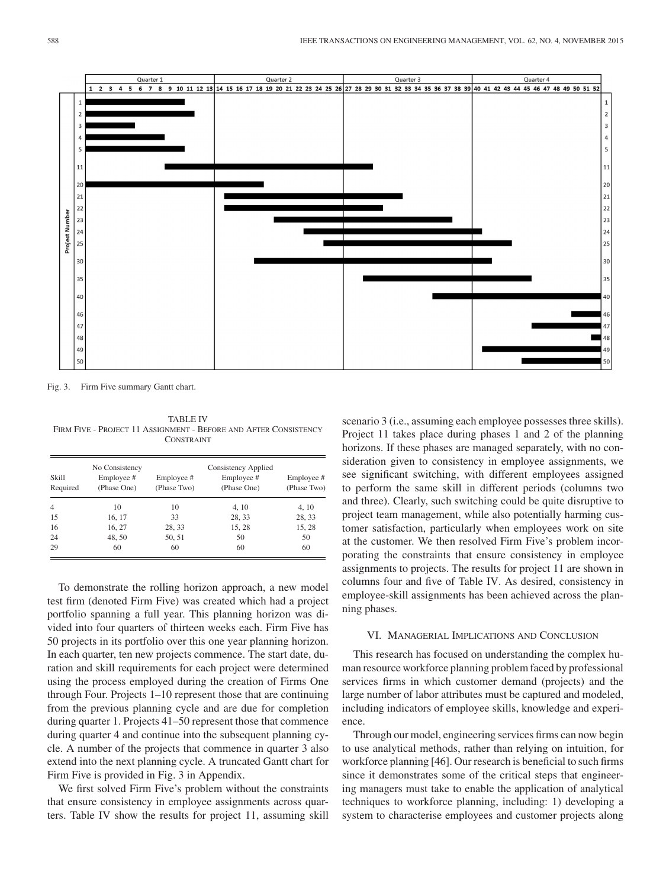

Fig. 3. Firm Five summary Gantt chart.

TABLE IV FIRM FIVE - PROJECT 11 ASSIGNMENT - BEFORE AND AFTER CONSISTENCY **CONSTRAINT** 

| <b>Skill</b><br>Required | No Consistency<br>Employee #<br>(Phase One) | Employee #<br>(Phase Two) | Consistency Applied<br>Employee #<br>(Phase One) | Employee #<br>(Phase Two) |
|--------------------------|---------------------------------------------|---------------------------|--------------------------------------------------|---------------------------|
| $\overline{4}$           | 10                                          | 10                        | 4, 10                                            | 4, 10                     |
| 15                       | 16, 17                                      | 33                        | 28, 33                                           | 28, 33                    |
| 16                       | 16, 27                                      | 28, 33                    | 15, 28                                           | 15, 28                    |
| 24                       | 48, 50                                      | 50, 51                    | 50                                               | 50                        |
| 29                       | 60                                          | 60                        | 60                                               | 60                        |

To demonstrate the rolling horizon approach, a new model test firm (denoted Firm Five) was created which had a project portfolio spanning a full year. This planning horizon was divided into four quarters of thirteen weeks each. Firm Five has 50 projects in its portfolio over this one year planning horizon. In each quarter, ten new projects commence. The start date, duration and skill requirements for each project were determined using the process employed during the creation of Firms One through Four. Projects 1–10 represent those that are continuing from the previous planning cycle and are due for completion during quarter 1. Projects 41–50 represent those that commence during quarter 4 and continue into the subsequent planning cycle. A number of the projects that commence in quarter 3 also extend into the next planning cycle. A truncated Gantt chart for Firm Five is provided in Fig. 3 in Appendix.

We first solved Firm Five's problem without the constraints that ensure consistency in employee assignments across quarters. Table IV show the results for project 11, assuming skill

scenario 3 (i.e., assuming each employee possesses three skills). Project 11 takes place during phases 1 and 2 of the planning horizons. If these phases are managed separately, with no consideration given to consistency in employee assignments, we see significant switching, with different employees assigned to perform the same skill in different periods (columns two and three). Clearly, such switching could be quite disruptive to project team management, while also potentially harming customer satisfaction, particularly when employees work on site at the customer. We then resolved Firm Five's problem incorporating the constraints that ensure consistency in employee assignments to projects. The results for project 11 are shown in columns four and five of Table IV. As desired, consistency in employee-skill assignments has been achieved across the planning phases.

#### VI. MANAGERIAL IMPLICATIONS AND CONCLUSION

This research has focused on understanding the complex human resource workforce planning problem faced by professional services firms in which customer demand (projects) and the large number of labor attributes must be captured and modeled, including indicators of employee skills, knowledge and experience.

Through our model, engineering services firms can now begin to use analytical methods, rather than relying on intuition, for workforce planning [46]. Our research is beneficial to such firms since it demonstrates some of the critical steps that engineering managers must take to enable the application of analytical techniques to workforce planning, including: 1) developing a system to characterise employees and customer projects along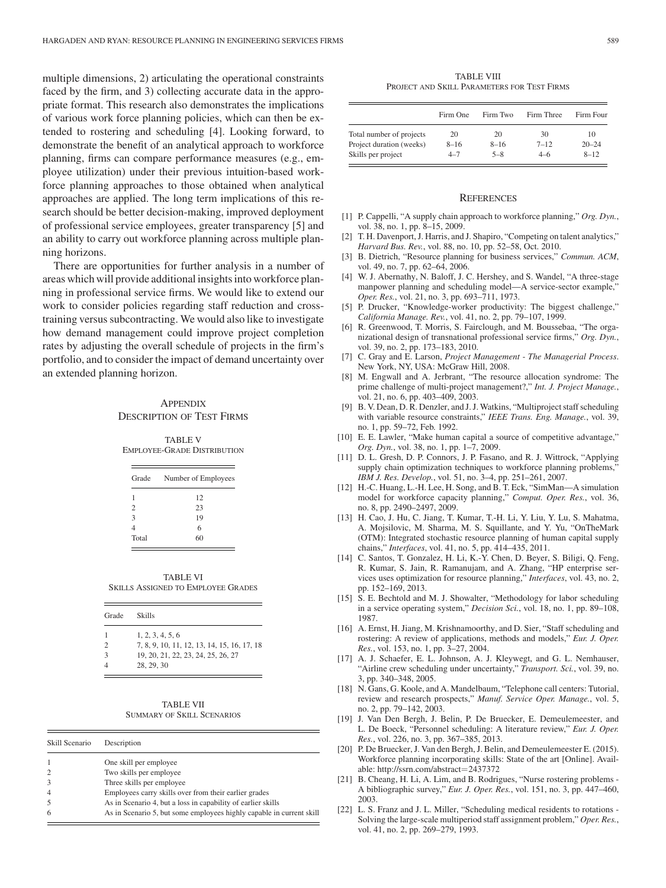multiple dimensions, 2) articulating the operational constraints faced by the firm, and 3) collecting accurate data in the appropriate format. This research also demonstrates the implications of various work force planning policies, which can then be extended to rostering and scheduling [4]. Looking forward, to demonstrate the benefit of an analytical approach to workforce planning, firms can compare performance measures (e.g., employee utilization) under their previous intuition-based workforce planning approaches to those obtained when analytical approaches are applied. The long term implications of this research should be better decision-making, improved deployment of professional service employees, greater transparency [5] and an ability to carry out workforce planning across multiple planning horizons.

There are opportunities for further analysis in a number of areas which will provide additional insights into workforce planning in professional service firms. We would like to extend our work to consider policies regarding staff reduction and crosstraining versus subcontracting. We would also like to investigate how demand management could improve project completion rates by adjusting the overall schedule of projects in the firm's portfolio, and to consider the impact of demand uncertainty over an extended planning horizon.

#### **APPENDIX** DESCRIPTION OF TEST FIRMS

TABLE V EMPLOYEE-GRADE DISTRIBUTION

| Grade          | Number of Employees |  |  |
|----------------|---------------------|--|--|
| 1              | 12                  |  |  |
| $\overline{c}$ | 23                  |  |  |
| 3              | 19                  |  |  |
| 4              | 6                   |  |  |
| Total          | 60                  |  |  |
|                |                     |  |  |

TABLE VI SKILLS ASSIGNED TO EMPLOYEE GRADES

| Grade         | Skills                                      |
|---------------|---------------------------------------------|
|               | 1, 2, 3, 4, 5, 6                            |
|               | 7, 8, 9, 10, 11, 12, 13, 14, 15, 16, 17, 18 |
| $\mathcal{R}$ | 19, 20, 21, 22, 23, 24, 25, 26, 27          |
|               | 28, 29, 30                                  |

TABLE VII SUMMARY OF SKILL SCENARIOS

| Skill Scenario | Description                                                          |  |  |
|----------------|----------------------------------------------------------------------|--|--|
|                | One skill per employee                                               |  |  |
| $\overline{2}$ | Two skills per employee                                              |  |  |
| 3              | Three skills per employee                                            |  |  |
| $\overline{4}$ | Employees carry skills over from their earlier grades                |  |  |
| 5              | As in Scenario 4, but a loss in capability of earlier skills         |  |  |
| 6              | As in Scenario 5, but some employees highly capable in current skill |  |  |

TABLE VIII PROJECT AND SKILL PARAMETERS FOR TEST FIRMS

|                          | Firm One | Firm Two | Firm Three | Firm Four |
|--------------------------|----------|----------|------------|-----------|
| Total number of projects | 20       | 20       | 30         | 10        |
| Project duration (weeks) | $8 - 16$ | $8 - 16$ | $7 - 12$   | $20 - 24$ |
| Skills per project       | $4 - 7$  | $5 - 8$  | $4 - 6$    | $8 - 12$  |

#### **REFERENCES**

- [1] P. Cappelli, "A supply chain approach to workforce planning," *Org. Dyn.*, vol. 38, no. 1, pp. 8–15, 2009.
- [2] T. H. Davenport, J. Harris, and J. Shapiro, "Competing on talent analytics," *Harvard Bus. Rev.*, vol. 88, no. 10, pp. 52–58, Oct. 2010.
- [3] B. Dietrich, "Resource planning for business services," *Commun. ACM*, vol. 49, no. 7, pp. 62–64, 2006.
- [4] W. J. Abernathy, N. Baloff, J. C. Hershey, and S. Wandel, "A three-stage manpower planning and scheduling model—A service-sector example," *Oper. Res.*, vol. 21, no. 3, pp. 693–711, 1973.
- [5] P. Drucker, "Knowledge-worker productivity: The biggest challenge," *California Manage. Rev.*, vol. 41, no. 2, pp. 79–107, 1999.
- [6] R. Greenwood, T. Morris, S. Fairclough, and M. Boussebaa, "The organizational design of transnational professional service firms," *Org. Dyn.*, vol. 39, no. 2, pp. 173–183, 2010.
- [7] C. Gray and E. Larson, *Project Management The Managerial Process*. New York, NY, USA: McGraw Hill, 2008.
- [8] M. Engwall and A. Jerbrant, "The resource allocation syndrome: The prime challenge of multi-project management?," *Int. J. Project Manage.*, vol. 21, no. 6, pp. 403–409, 2003.
- [9] B. V. Dean, D. R. Denzler, and J. J. Watkins, "Multiproject staff scheduling with variable resource constraints," *IEEE Trans. Eng. Manage.*, vol. 39, no. 1, pp. 59–72, Feb. 1992.
- [10] E. E. Lawler, "Make human capital a source of competitive advantage," *Org. Dyn.*, vol. 38, no. 1, pp. 1–7, 2009.
- [11] D. L. Gresh, D. P. Connors, J. P. Fasano, and R. J. Wittrock, "Applying supply chain optimization techniques to workforce planning problems,' *IBM J. Res. Develop.*, vol. 51, no. 3–4, pp. 251–261, 2007.
- [12] H.-C. Huang, L.-H. Lee, H. Song, and B. T. Eck, "SimMan—A simulation model for workforce capacity planning," *Comput. Oper. Res.*, vol. 36, no. 8, pp. 2490–2497, 2009.
- [13] H. Cao, J. Hu, C. Jiang, T. Kumar, T.-H. Li, Y. Liu, Y. Lu, S. Mahatma, A. Mojsilovic, M. Sharma, M. S. Squillante, and Y. Yu, "OnTheMark (OTM): Integrated stochastic resource planning of human capital supply chains," *Interfaces*, vol. 41, no. 5, pp. 414–435, 2011.
- [14] C. Santos, T. Gonzalez, H. Li, K.-Y. Chen, D. Beyer, S. Biligi, Q. Feng, R. Kumar, S. Jain, R. Ramanujam, and A. Zhang, "HP enterprise services uses optimization for resource planning," *Interfaces*, vol. 43, no. 2, pp. 152–169, 2013.
- [15] S. E. Bechtold and M. J. Showalter, "Methodology for labor scheduling in a service operating system," *Decision Sci.*, vol. 18, no. 1, pp. 89–108, 1987.
- [16] A. Ernst, H. Jiang, M. Krishnamoorthy, and D. Sier, "Staff scheduling and rostering: A review of applications, methods and models," *Eur. J. Oper. Res.*, vol. 153, no. 1, pp. 3–27, 2004.
- [17] A. J. Schaefer, E. L. Johnson, A. J. Kleywegt, and G. L. Nemhauser, "Airline crew scheduling under uncertainty," *Transport. Sci.*, vol. 39, no. 3, pp. 340–348, 2005.
- [18] N. Gans, G. Koole, and A. Mandelbaum, "Telephone call centers: Tutorial, review and research prospects," *Manuf. Service Oper. Manage.*, vol. 5, no. 2, pp. 79–142, 2003.
- [19] J. Van Den Bergh, J. Belin, P. De Bruecker, E. Demeulemeester, and L. De Boeck, "Personnel scheduling: A literature review," *Eur. J. Oper. Res.*, vol. 226, no. 3, pp. 367–385, 2013.
- [20] P. De Bruecker, J. Van den Bergh, J. Belin, and Demeulemeester E. (2015). Workforce planning incorporating skills: State of the art [Online]. Available: http://ssrn.com/abstract=2437372
- [21] B. Cheang, H. Li, A. Lim, and B. Rodrigues, "Nurse rostering problems -A bibliographic survey," *Eur. J. Oper. Res.*, vol. 151, no. 3, pp. 447–460, 2003.
- [22] L. S. Franz and J. L. Miller, "Scheduling medical residents to rotations -Solving the large-scale multiperiod staff assignment problem," *Oper. Res.*, vol. 41, no. 2, pp. 269–279, 1993.